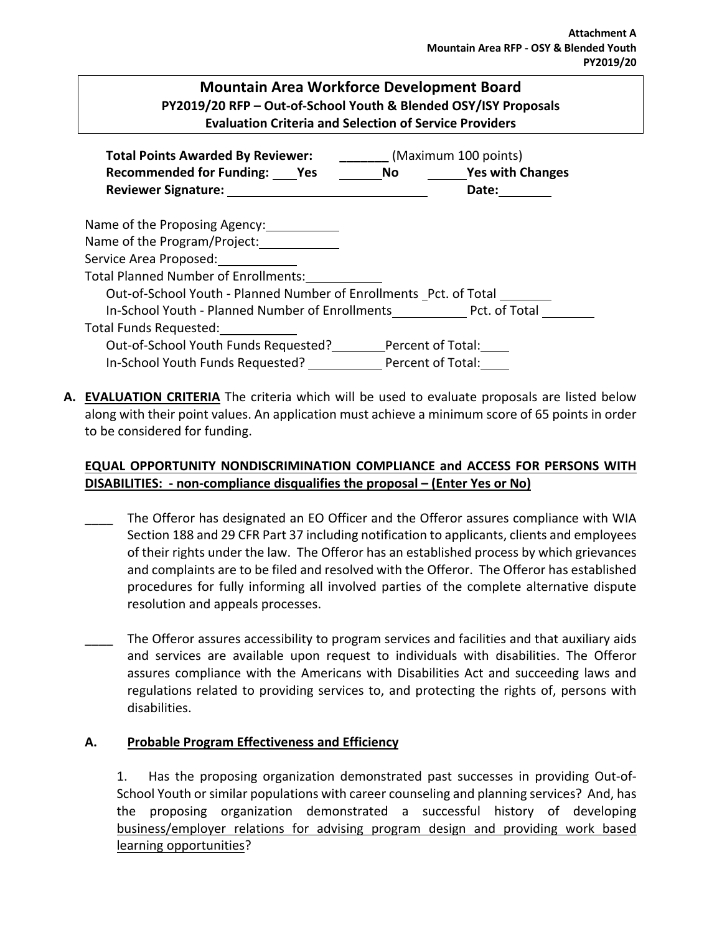## **Mountain Area Workforce Development Board PY2019/20 RFP – Out-of-School Youth & Blended OSY/ISY Proposals Evaluation Criteria and Selection of Service Providers**

| <b>Total Points Awarded By Reviewer:</b> (Maximum 100 points)     |  |       |  |
|-------------------------------------------------------------------|--|-------|--|
| Recommended for Funding: Yes No Yes with Changes                  |  |       |  |
| Reviewer Signature: New York 1999                                 |  | Date: |  |
| Name of the Proposing Agency:                                     |  |       |  |
| Name of the Program/Project:                                      |  |       |  |
| Service Area Proposed:                                            |  |       |  |
| Total Planned Number of Enrollments:                              |  |       |  |
| Out-of-School Youth - Planned Number of Enrollments Pct. of Total |  |       |  |
| In-School Youth - Planned Number of Enrollments Pct. of Total     |  |       |  |
| Total Funds Requested:                                            |  |       |  |
| Out-of-School Youth Funds Requested? Percent of Total:            |  |       |  |
| In-School Youth Funds Requested? Percent of Total:                |  |       |  |

**A. EVALUATION CRITERIA** The criteria which will be used to evaluate proposals are listed below along with their point values. An application must achieve a minimum score of 65 points in order to be considered for funding.

## **EQUAL OPPORTUNITY NONDISCRIMINATION COMPLIANCE and ACCESS FOR PERSONS WITH DISABILITIES: - non-compliance disqualifies the proposal – (Enter Yes or No)**

- The Offeror has designated an EO Officer and the Offeror assures compliance with WIA Section 188 and 29 CFR Part 37 including notification to applicants, clients and employees of their rights under the law. The Offeror has an established process by which grievances and complaints are to be filed and resolved with the Offeror. The Offeror has established procedures for fully informing all involved parties of the complete alternative dispute resolution and appeals processes.
- The Offeror assures accessibility to program services and facilities and that auxiliary aids and services are available upon request to individuals with disabilities. The Offeror assures compliance with the Americans with Disabilities Act and succeeding laws and regulations related to providing services to, and protecting the rights of, persons with disabilities.

## **A. Probable Program Effectiveness and Efficiency**

1. Has the proposing organization demonstrated past successes in providing Out-of-School Youth or similar populations with career counseling and planning services? And, has the proposing organization demonstrated a successful history of developing business/employer relations for advising program design and providing work based learning opportunities?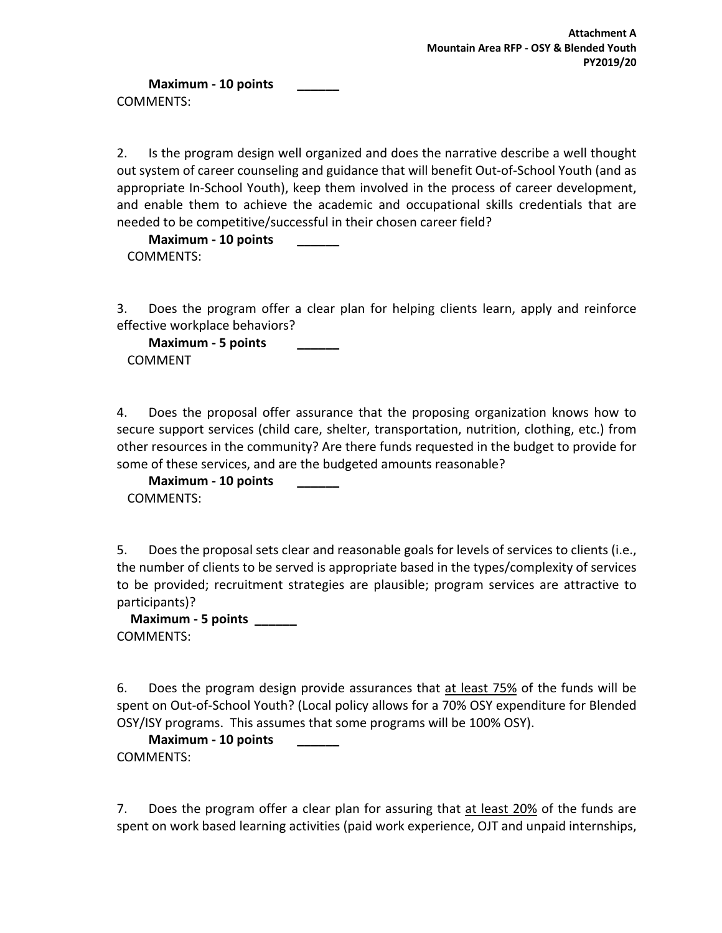**Maximum - 10 points \_\_\_\_\_\_** COMMENTS:

2. Is the program design well organized and does the narrative describe a well thought out system of career counseling and guidance that will benefit Out-of-School Youth (and as appropriate In-School Youth), keep them involved in the process of career development, and enable them to achieve the academic and occupational skills credentials that are needed to be competitive/successful in their chosen career field?

**Maximum - 10 points \_\_\_\_\_\_** COMMENTS:

3. Does the program offer a clear plan for helping clients learn, apply and reinforce effective workplace behaviors?

**Maximum - 5 points \_\_\_\_\_\_** COMMENT

4. Does the proposal offer assurance that the proposing organization knows how to secure support services (child care, shelter, transportation, nutrition, clothing, etc.) from other resources in the community? Are there funds requested in the budget to provide for some of these services, and are the budgeted amounts reasonable?

**Maximum - 10 points \_\_\_\_\_\_** COMMENTS:

5. Does the proposal sets clear and reasonable goals for levels of services to clients (i.e., the number of clients to be served is appropriate based in the types/complexity of services to be provided; recruitment strategies are plausible; program services are attractive to participants)?

**Maximum - 5 points \_\_\_\_\_\_** COMMENTS:

6. Does the program design provide assurances that at least 75% of the funds will be spent on Out-of-School Youth? (Local policy allows for a 70% OSY expenditure for Blended OSY/ISY programs. This assumes that some programs will be 100% OSY).

**Maximum - 10 points \_\_\_\_\_\_** COMMENTS:

7. Does the program offer a clear plan for assuring that at least 20% of the funds are spent on work based learning activities (paid work experience, OJT and unpaid internships,